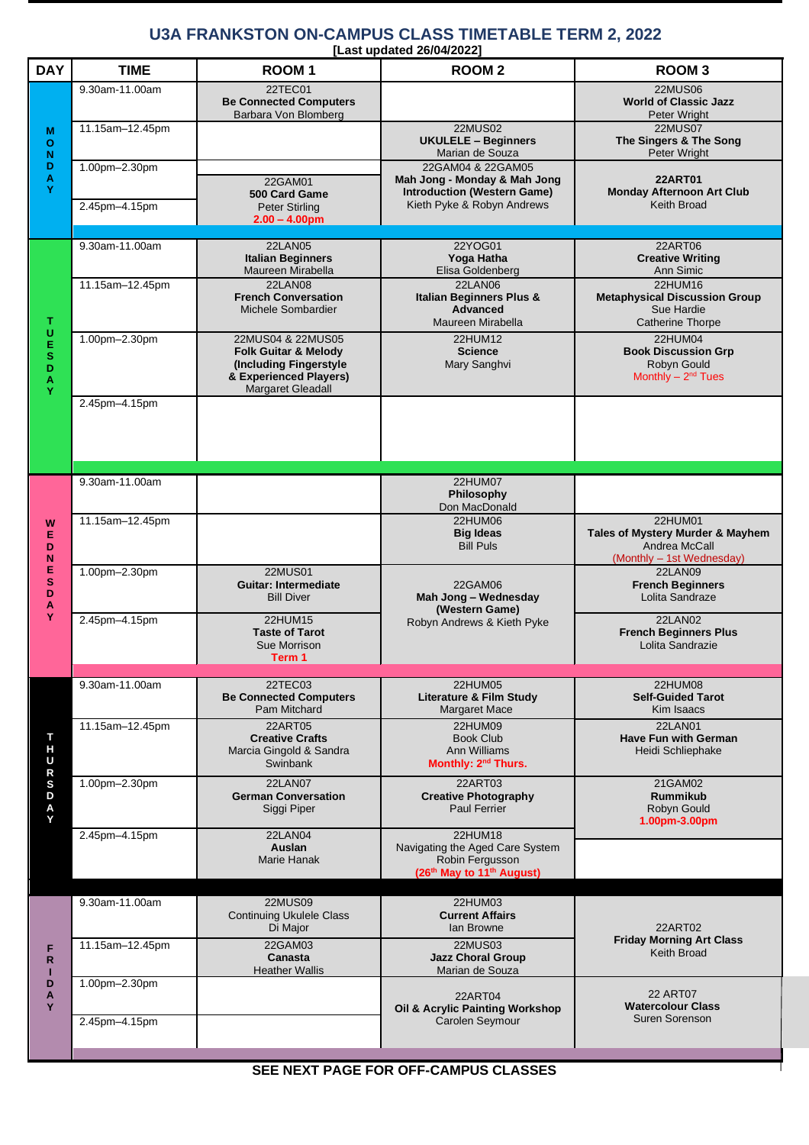## **U3A FRANKSTON ON-CAMPUS CLASS TIMETABLE TERM 2, 2022**

| [Last updated 26/04/2022] |
|---------------------------|
|---------------------------|

| <b>DAY</b>                                          | <b>TIME</b>                    | ROOM <sub>1</sub>                                                                                                                    | Last upuateu zwo-rzozz<br><b>ROOM2</b>                                                                                | <b>ROOM3</b>                                                                                    |
|-----------------------------------------------------|--------------------------------|--------------------------------------------------------------------------------------------------------------------------------------|-----------------------------------------------------------------------------------------------------------------------|-------------------------------------------------------------------------------------------------|
| M<br>O<br>N<br>D<br>$\frac{\mathsf{A}}{\mathsf{Y}}$ | 9.30am-11.00am                 | 22TEC01<br><b>Be Connected Computers</b><br>Barbara Von Blomberg                                                                     |                                                                                                                       | <b>22MUS06</b><br><b>World of Classic Jazz</b><br>Peter Wright                                  |
|                                                     | 11.15am-12.45pm                |                                                                                                                                      | <b>22MUS02</b><br><b>UKULELE - Beginners</b><br>Marian de Souza                                                       | <b>22MUS07</b><br>The Singers & The Song<br>Peter Wright                                        |
|                                                     | 1.00pm-2.30pm<br>2.45pm-4.15pm | 22GAM01<br>500 Card Game                                                                                                             | 22GAM04 & 22GAM05<br>Mah Jong - Monday & Mah Jong<br><b>Introduction (Western Game)</b><br>Kieth Pyke & Robyn Andrews | <b>22ART01</b><br><b>Monday Afternoon Art Club</b><br>Keith Broad                               |
|                                                     |                                | <b>Peter Stirling</b><br>$2.00 - 4.00$ pm                                                                                            |                                                                                                                       |                                                                                                 |
| т<br>UESD<br>A<br>Y                                 | 9.30am-11.00am                 | 22LAN05<br><b>Italian Beginners</b><br>Maureen Mirabella                                                                             | 22YOG01<br>Yoga Hatha<br>Elisa Goldenberg                                                                             | 22ART06<br><b>Creative Writing</b><br>Ann Simic                                                 |
|                                                     | 11.15am-12.45pm                | <b>22LAN08</b><br><b>French Conversation</b><br>Michele Sombardier                                                                   | <b>22LAN06</b><br>Italian Beginners Plus &<br><b>Advanced</b><br>Maureen Mirabella                                    | <b>22HUM16</b><br><b>Metaphysical Discussion Group</b><br>Sue Hardie<br><b>Catherine Thorpe</b> |
|                                                     | 1.00pm-2.30pm                  | 22MUS04 & 22MUS05<br><b>Folk Guitar &amp; Melody</b><br>(Including Fingerstyle<br>& Experienced Players)<br><b>Margaret Gleadall</b> | 22HUM12<br><b>Science</b><br>Mary Sanghvi                                                                             | 22HUM04<br><b>Book Discussion Grp</b><br>Robyn Gould<br>Monthly $- 2nd$ Tues                    |
|                                                     | 2.45pm-4.15pm                  |                                                                                                                                      |                                                                                                                       |                                                                                                 |
| W<br>E<br>D<br>N<br>E<br>${\bf s}$<br>D<br>A<br>Ÿ   | 9.30am-11.00am                 |                                                                                                                                      | 22HUM07<br>Philosophy<br>Don MacDonald                                                                                |                                                                                                 |
|                                                     | 11.15am-12.45pm                |                                                                                                                                      | 22HUM06<br><b>Big Ideas</b><br><b>Bill Puls</b>                                                                       | 22HUM01<br>Tales of Mystery Murder & Mayhem<br>Andrea McCall<br>(Monthly - 1st Wednesday)       |
|                                                     | 1.00pm-2.30pm                  | <b>22MUS01</b><br><b>Guitar: Intermediate</b><br><b>Bill Diver</b>                                                                   | 22GAM06<br>Mah Jong - Wednesday<br>(Western Game)                                                                     | <b>22LAN09</b><br><b>French Beginners</b><br>Lolita Sandraze                                    |
|                                                     | 2.45pm-4.15pm                  | <b>22HUM15</b><br><b>Taste of Tarot</b><br>Sue Morrison<br>Term 1                                                                    | Robyn Andrews & Kieth Pyke                                                                                            | <b>22LAN02</b><br><b>French Beginners Plus</b><br>Lolita Sandrazie                              |
|                                                     |                                |                                                                                                                                      |                                                                                                                       |                                                                                                 |
| т<br>н<br>U<br>R<br>S<br>D<br>A<br>Y                | 9.30am-11.00am                 | 22TEC03<br><b>Be Connected Computers</b><br>Pam Mitchard                                                                             | 22HUM05<br>Literature & Film Study<br>Margaret Mace                                                                   | 22HUM08<br><b>Self-Guided Tarot</b><br>Kim Isaacs                                               |
|                                                     | 11.15am-12.45pm                | 22ART05<br><b>Creative Crafts</b><br>Marcia Gingold & Sandra<br>Swinbank                                                             | 22HUM09<br><b>Book Club</b><br><b>Ann Williams</b><br>Monthly: 2 <sup>nd</sup> Thurs.                                 | <b>22LAN01</b><br><b>Have Fun with German</b><br>Heidi Schliephake                              |
|                                                     | 1.00pm-2.30pm                  | <b>22LAN07</b><br><b>German Conversation</b><br>Siggi Piper                                                                          | 22ART03<br><b>Creative Photography</b><br><b>Paul Ferrier</b>                                                         | 21GAM02<br><b>Rummikub</b><br>Robyn Gould<br>1.00pm-3.00pm                                      |
|                                                     | 2.45pm-4.15pm                  | <b>22LAN04</b><br>Auslan<br>Marie Hanak                                                                                              | 22HUM18<br>Navigating the Aged Care System<br>Robin Fergusson<br>(26th May to 11th August)                            |                                                                                                 |
|                                                     | 9.30am-11.00am                 | <b>22MUS09</b>                                                                                                                       | 22HUM03                                                                                                               |                                                                                                 |
| F<br>R<br>D<br>A<br>Y                               | 11.15am-12.45pm                | <b>Continuing Ukulele Class</b><br>Di Major<br>22GAM03                                                                               | <b>Current Affairs</b><br>lan Browne<br><b>22MUS03</b>                                                                | 22ART02<br><b>Friday Morning Art Class</b>                                                      |
|                                                     | 1.00pm-2.30pm                  | Canasta<br><b>Heather Wallis</b>                                                                                                     | <b>Jazz Choral Group</b><br>Marian de Souza                                                                           | Keith Broad                                                                                     |
|                                                     | 2.45pm-4.15pm                  |                                                                                                                                      | 22ART04<br>Oil & Acrylic Painting Workshop<br>Carolen Seymour                                                         | <b>22 ART07</b><br><b>Watercolour Class</b><br>Suren Sorenson                                   |
|                                                     |                                |                                                                                                                                      |                                                                                                                       |                                                                                                 |